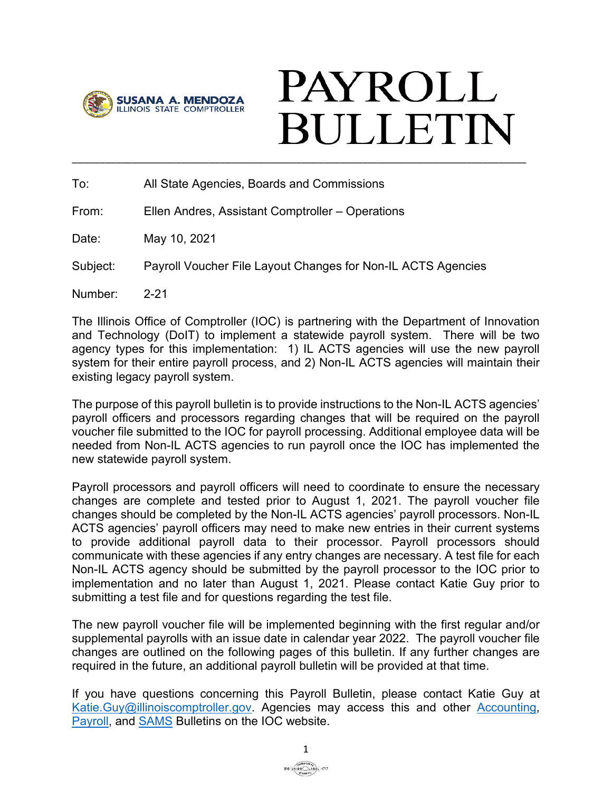

# **PAYROLL BULLETIN** \_\_\_\_\_\_\_\_\_\_\_\_\_\_\_\_\_\_\_\_\_\_\_\_\_\_\_\_\_\_\_\_\_\_\_\_\_\_\_\_\_\_\_\_\_\_\_\_\_\_\_\_\_\_\_\_\_\_\_\_\_\_\_\_\_\_\_\_\_\_\_\_\_\_\_\_\_\_\_\_\_\_\_

To: All State Agencies, Boards and Commissions

From: Ellen Andres, Assistant Comptroller – Operations

Date: May 10, 2021

Subject: Payroll Voucher File Layout Changes for Non-IL ACTS Agencies

Number: 2-21

The Illinois Office of Comptroller (IOC) is partnering with the Department of Innovation and Technology (DoIT) to implement a statewide payroll system. There will be two agency types for this implementation: 1) IL ACTS agencies will use the new payroll system for their entire payroll process, and 2) Non-IL ACTS agencies will maintain their existing legacy payroll system.

The purpose of this payroll bulletin is to provide instructions to the Non-IL ACTS agencies' payroll officers and processors regarding changes that will be required on the payroll voucher file submitted to the IOC for payroll processing. Additional employee data will be needed from Non-IL ACTS agencies to run payroll once the IOC has implemented the new statewide payroll system.

Payroll processors and payroll officers will need to coordinate to ensure the necessary changes are complete and tested prior to August 1, 2021. The payroll voucher file changes should be completed by the Non-IL ACTS agencies' payroll processors. Non-IL ACTS agencies' payroll officers may need to make new entries in their current systems to provide additional payroll data to their processor. Payroll processors should communicate with these agencies if any entry changes are necessary. A test file for each Non-IL ACTS agency should be submitted by the payroll processor to the IOC prior to implementation and no later than August 1, 2021. Please contact Katie Guy prior to submitting a test file and for questions regarding the test file.

The new payroll voucher file will be implemented beginning with the first regular and/or supplemental payrolls with an issue date in calendar year 2022. The payroll voucher file changes are outlined on the following pages of this bulletin. If any further changes are required in the future, an additional payroll bulletin will be provided at that time.

If you have questions concerning this Payroll Bulletin, please contact Katie Guy at Katie. Guy@illinoiscomptroller.gov. Agencies may access this and other [Accounting,](https://illinoiscomptroller.gov/agencies/resource-library/accounting-bulletins/) [Payroll,](https://illinoiscomptroller.gov/agencies/resource-library/payroll-bulletins/) and [SAMS](https://illinoiscomptroller.gov/agencies/sams/sams-procedure-bulletins/) Bulletins on the IOC website.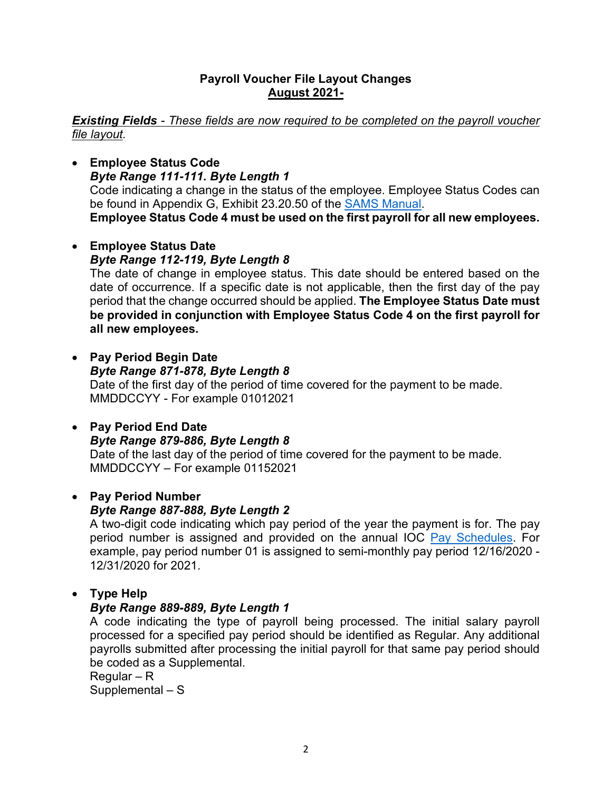#### **Payroll Voucher File Layout Changes August 2021-**

*Existing Fields - These fields are now required to be completed on the payroll voucher file layout.* 

• **Employee Status Code** *Byte Range 111-111. Byte Length 1* Code indicating a change in the status of the employee. Employee Status Codes can be found in Appendix G, Exhibit 23.20.50 of the [SAMS Manual.](https://illinoiscomptroller.gov/agencies/sams/sams-manual/) **Employee Status Code 4 must be used on the first payroll for all new employees.** 

#### • **Employee Status Date** *Byte Range 112-119, Byte Length 8* The date of change in employee status. This date should be entered based on the date of occurrence. If a specific date is not applicable, then the first day of the pay period that the change occurred should be applied. **The Employee Status Date must be provided in conjunction with Employee Status Code 4 on the first payroll for**

- **Pay Period Begin Date** *Byte Range 871-878, Byte Length 8* Date of the first day of the period of time covered for the payment to be made. MMDDCCYY - For example 01012021
- **Pay Period End Date** *Byte Range 879-886, Byte Length 8* Date of the last day of the period of time covered for the payment to be made. MMDDCCYY – For example 01152021

## • **Pay Period Number**

**all new employees.**

## *Byte Range 887-888, Byte Length 2*

A two-digit code indicating which pay period of the year the payment is for. The pay period number is assigned and provided on the annual IOC Pay [Schedules.](https://illinoiscomptroller.gov/agencies/resource-library/pay-schedules/) For example, pay period number 01 is assigned to semi-monthly pay period 12/16/2020 - 12/31/2020 for 2021.

## • **Type Help**

## *Byte Range 889-889, Byte Length 1*

A code indicating the type of payroll being processed. The initial salary payroll processed for a specified pay period should be identified as Regular. Any additional payrolls submitted after processing the initial payroll for that same pay period should be coded as a Supplemental.

Regular – R Supplemental – S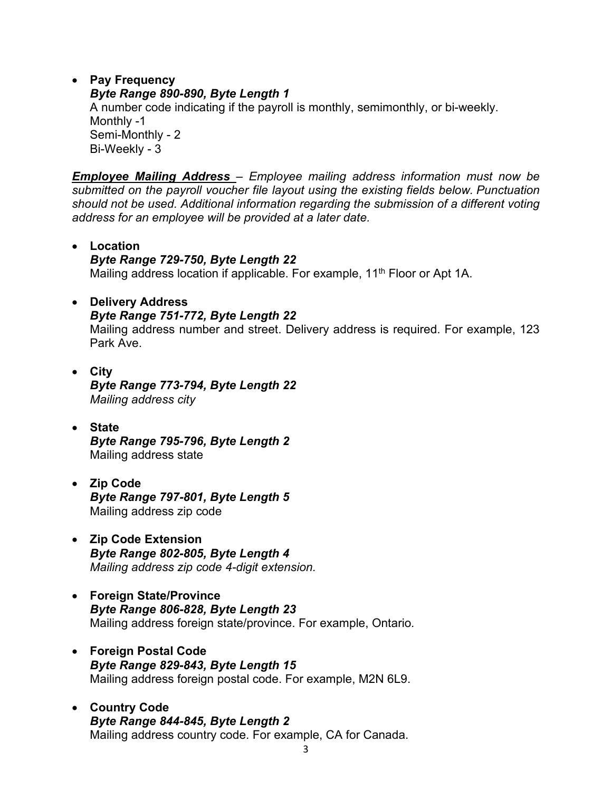• **Pay Frequency** *Byte Range 890-890, Byte Length 1* A number code indicating if the payroll is monthly, semimonthly, or bi-weekly. Monthly -1

Semi-Monthly - 2 Bi-Weekly - 3

*Employee Mailing Address – Employee mailing address information must now be submitted on the payroll voucher file layout using the existing fields below. Punctuation should not be used. Additional information regarding the submission of a different voting address for an employee will be provided at a later date.*

• **Location** *Byte Range 729-750, Byte Length 22* Mailing address location if applicable. For example, 11<sup>th</sup> Floor or Apt 1A.

#### • **Delivery Address**

#### *Byte Range 751-772, Byte Length 22*

Mailing address number and street. Delivery address is required. For example, 123 Park Ave.

- **City** *Byte Range 773-794, Byte Length 22 Mailing address city*
- **State** *Byte Range 795-796, Byte Length 2* Mailing address state
- **Zip Code** *Byte Range 797-801, Byte Length 5* Mailing address zip code
- **Zip Code Extension** *Byte Range 802-805, Byte Length 4 Mailing address zip code 4-digit extension.*
- **Foreign State/Province** *Byte Range 806-828, Byte Length 23* Mailing address foreign state/province. For example, Ontario*.*
- **Foreign Postal Code** *Byte Range 829-843, Byte Length 15* Mailing address foreign postal code. For example, M2N 6L9.
- **Country Code** *Byte Range 844-845, Byte Length 2* Mailing address country code. For example, CA for Canada.